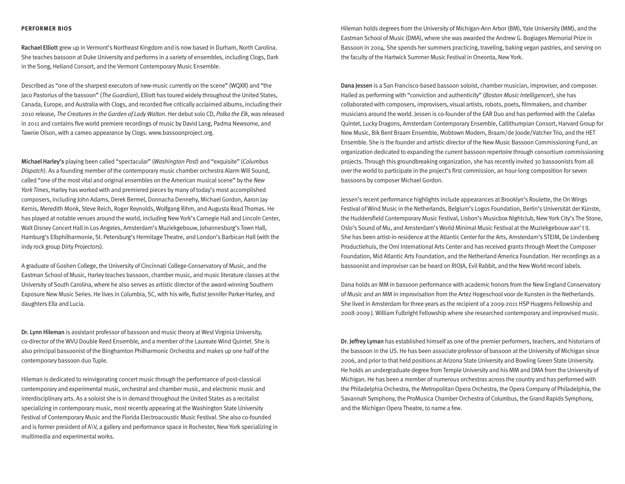#### **PERFORMER BIOS**

Rachael Elliott grew up in Vermont's Northeast Kingdom and is now based in Durham, North Carolina. She teaches bassoon at Duke University and performs in a variety of ensembles, including Clogs, Dark in the Song, Heliand Consort, and the Vermont Contemporary Music Ensemble.

Described as "one of the sharpest executors of new-music currently on the scene" (WQXR) and "the Jaco Pastorius of the bassoon" (The Guardian), Elliott has toured widely throughout the United States, Canada, Europe, and Australia with Clogs, and recorded five critically acclaimed albums, including their 2010 release, The Creatures in the Garden of Lady Walton. Her debut solo CD, Polka the Elk, was released in 2011 and contains five world premiere recordings of music by David Lang, Padma Newsome, and Tawnie Olson, with a cameo appearance by Clogs. www.bassoonproject.org.

Michael Harley's playing been called "spectacular" (Washington Post) and "exquisite" (Columbus Dispatch). As a founding member of the contemporary music chamber orchestra Alarm Will Sound, called "one of the most vital and original ensembles on the American musical scene" by the New York Times, Harley has worked with and premiered pieces by many of today's most accomplished composers, including John Adams, Derek Bermel, Donnacha Dennehy, Michael Gordon, Aaron Jay Kernis, Meredith Monk, Steve Reich, Roger Reynolds, Wolfgang Rihm, and Augusta Read Thomas. He has played at notable venues around the world, including New York's Carnegie Hall and Lincoln Center, Walt Disney Concert Hall in Los Angeles, Amsterdam's Muziekgebouw, Johannesburg's Town Hall, Hamburg's Elbphilharmonie, St. Petersburg's Hermitage Theatre, and London's Barbican Hall (with the indy rock group Dirty Projectors).

A graduate of Goshen College, the University of Cincinnati College-Conservatory of Music, and the Eastman School of Music, Harley teaches bassoon, chamber music, and music literature classes at the University of South Carolina, where he also serves as artistic director of the award-winning Southern Exposure New Music Series. He lives in Columbia, SC, with his wife, flutist Jennifer Parker-Harley, and daughters Ella and Lucia.

Dr. Lynn Hileman is assistant professor of bassoon and music theory at West Virginia University, co-director of the WVU Double Reed Ensemble, and a member of the Laureate Wind Quintet. She is also principal bassoonist of the Binghamton Philharmonic Orchestra and makes up one half of the contemporary bassoon duo Tuple.

Hileman is dedicated to reinvigorating concert music through the performance of post-classical contemporary and experimental music, orchestral and chamber music, and electronic music and interdisciplinary arts. As a soloist she is in demand throughout the United States as a recitalist specializing in contemporary music, most recently appearing at the Washington State University Festival of Contemporary Music and the Florida Electroacoustic Music Festival. She also co-founded and is former president of A\V, a gallery and performance space in Rochester, New York specializing in multimedia and experimental works.

Hileman holds degrees from the University of Michigan-Ann Arbor (BM), Yale University (MM), and the Eastman School of Music (DMA), where she was awarded the Andrew G. Bogiages Memorial Prize in Bassoon in 2004. She spends her summers practicing, traveling, baking vegan pastries, and serving on the faculty of the Hartwick Summer Music Festival in Oneonta, New York.

Dana Jessen is a San Francisco-based bassoon soloist, chamber musician, improviser, and composer. Hailed as performing with "conviction and authenticity" (Boston Music Intelligencer), she has collaborated with composers, improvisers, visual artists, robots, poets, filmmakers, and chamber musicians around the world. Jessen is co-founder of the EAR Duo and has performed with the Calefax Quintet, Lucky Dragons, Amsterdam Contemporary Ensemble, Callithumpian Consort, Harvard Group for New Music, Bik Bent Braam Ensemble, Mobtown Modern, Braam/de Joode/Vatcher Trio, and the HET Ensemble. She is the founder and artistic director of the New Music Bassoon Commissioning Fund, an organization dedicated to expanding the current bassoon repertoire through consortium commissioning projects. Through this groundbreaking organization, she has recently invited 30 bassoonists from all over the world to participate in the project's first commission, an hour-long composition for seven bassoons by composer Michael Gordon.

Jessen's recent performance highlights include appearances at Brooklyn's Roulette, the On Wings Festival of Wind Music in the Netherlands, Belgium's Logos Foundation, Berlin's Universität der Künste, the Huddersfield Contemporary Music Festival, Lisbon's Musicbox Nightclub, New York City's The Stone, Oslo's Sound of Mu, and Amsterdam's World Minimal Music Festival at the Muziekgebouw aan' t IJ. She has been artist-in-residence at the Atlantic Center for the Arts, Amsterdam's STEIM, De Lindenberg Productiehuis, the Omi International Arts Center and has received grants through Meet the Composer Foundation, Mid Atlantic Arts Foundation, and the Netherland America Foundation. Her recordings as a bassoonist and improviser can be heard on RIOJA, Evil Rabbit, and the New World record labels.

Dana holds an MM in bassoon performance with academic honors from the New England Conservatory of Music and an MM in improvisation from the Artez Hogeschool voor de Kunsten in the Netherlands. She lived in Amsterdam for three years as the recipient of a 2009-2011 HSP Huygens Fellowship and 2008-2009 J. William Fulbright Fellowship where she researched contemporary and improvised music.

Dr. Jeffrey Lyman has established himself as one of the premier performers, teachers, and historians of the bassoon in the US. He has been associate professor of bassoon at the University of Michigan since 2006, and prior to that held positions at Arizona State University and Bowling Green State University. He holds an undergraduate degree from Temple University and his MM and DMA from the University of Michigan. He has been a member of numerous orchestras across the country and has performed with the Philadelphia Orchestra, the Metropolitan Opera Orchestra, the Opera Company of Philadelphia, the Savannah Symphony, the ProMusica Chamber Orchestra of Columbus, the Grand Rapids Symphony, and the Michigan Opera Theatre, to name a few.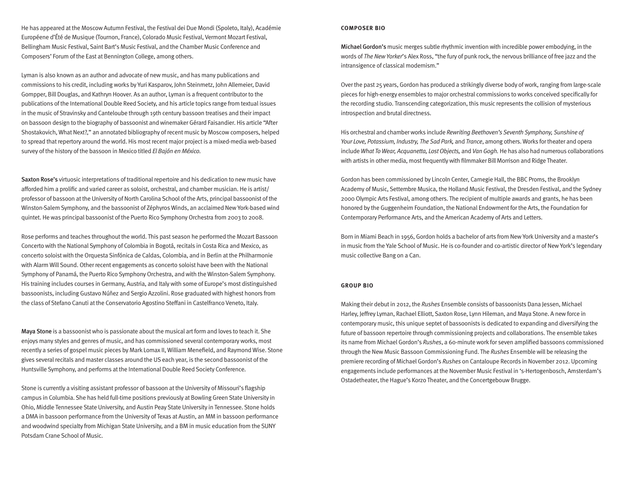He has appeared at the Moscow Autumn Festival, the Festival dei Due Mondi (Spoleto, Italy), Académie Européene d'Été de Musique (Tournon, France), Colorado Music Festival, Vermont Mozart Festival, Bellingham Music Festival, Saint Bart's Music Festival, and the Chamber Music Conference and Composers' Forum of the East at Bennington College, among others.

Lyman is also known as an author and advocate of new music, and has many publications and commissions to his credit, including works by Yuri Kasparov, John Steinmetz, John Allemeier, David Gompper, Bill Douglas, and Kathryn Hoover. As an author, Lyman is a frequent contributor to the publications of the International Double Reed Society, and his article topics range from textual issues in the music of Stravinsky and Canteloube through 19th century bassoon treatises and their impact on bassoon design to the biography of bassoonist and winemaker Gérard Faisandier. His article "After Shostakovich, What Next?," an annotated bibliography of recent music by Moscow composers, helped to spread that repertory around the world. His most recent major project is a mixed-media web-based survey of the history of the bassoon in Mexico titled El Bajón en México.

Saxton Rose's virtuosic interpretations of traditional repertoire and his dedication to new music have afforded him a prolific and varied career as soloist, orchestral, and chamber musician. He is artist/ professor of bassoon at the University of North Carolina School of the Arts, principal bassoonist of the Winston-Salem Symphony, and the bassoonist of Zéphyros Winds, an acclaimed New York-based wind quintet. He was principal bassoonist of the Puerto Rico Symphony Orchestra from 2003 to 2008.

Rose performs and teaches throughout the world. This past season he performed the Mozart Bassoon Concerto with the National Symphony of Colombia in Bogotá, recitals in Costa Rica and Mexico, as concerto soloist with the Orquesta Sinfónica de Caldas, Colombia, and in Berlin at the Philharmonie with Alarm Will Sound. Other recent engagements as concerto soloist have been with the National Symphony of Panamá, the Puerto Rico Symphony Orchestra, and with the Winston-Salem Symphony. His training includes courses in Germany, Austria, and Italy with some of Europe's most distinguished bassoonists, including Gustavo Núñez and Sergio Azzolini. Rose graduated with highest honors from the class of Stefano Canuti at the Conservatorio Agostino Steffani in Castelfranco Veneto, Italy.

Maya Stone is a bassoonist who is passionate about the musical art form and loves to teach it. She enjoys many styles and genres of music, and has commissioned several contemporary works, most recently a series of gospel music pieces by Mark Lomax II, William Menefield, and Raymond Wise. Stone gives several recitals and master classes around the US each year, is the second bassoonist of the Huntsville Symphony, and performs at the International Double Reed Society Conference.

Stone is currently a visiting assistant professor of bassoon at the University of Missouri's flagship campus in Columbia. She has held full-time positions previously at Bowling Green State University in Ohio, Middle Tennessee State University, and Austin Peay State University in Tennessee. Stone holds a DMA in bassoon performance from the University of Texas at Austin, an MM in bassoon performance and woodwind specialty from Michigan State University, and a BM in music education from the SUNY Potsdam Crane School of Music.

#### **COMPOSER BIO**

Michael Gordon's music merges subtle rhythmic invention with incredible power embodying, in the words of The New Yorker's Alex Ross, "the fury of punk rock, the nervous brilliance of free jazz and the intransigence of classical modernism."

Over the past 25 years, Gordon has produced a strikingly diverse body of work, ranging from large-scale pieces for high-energy ensembles to major orchestral commissions to works conceived specifically for the recording studio. Transcending categorization, this music represents the collision of mysterious introspection and brutal directness.

His orchestral and chamber works include Rewriting Beethoven's Seventh Symphony, Sunshine of Your Love, Potassium, Industry, The Sad Park, and Trance, among others. Works for theater and opera include What To Wear, Acquanetta, Lost Objects, and Van Gogh. He has also had numerous collaborations with artists in other media, most frequently with filmmaker Bill Morrison and Ridge Theater.

Gordon has been commissioned by Lincoln Center, Carnegie Hall, the BBC Proms, the Brooklyn Academy of Music, Settembre Musica, the Holland Music Festival, the Dresden Festival, and the Sydney 2000 Olympic Arts Festival, among others. The recipient of multiple awards and grants, he has been honored by the Guggenheim Foundation, the National Endowment for the Arts, the Foundation for Contemporary Performance Arts, and the American Academy of Arts and Letters.

Born in Miami Beach in 1956, Gordon holds a bachelor of arts from New York University and a master's in music from the Yale School of Music. He is co-founder and co-artistic director of New York's legendary music collective Bang on a Can.

#### **GROUP BIO**

Making their debut in 2012, the Rushes Ensemble consists of bassoonists Dana Jessen, Michael Harley, Jeffrey Lyman, Rachael Elliott, Saxton Rose, Lynn Hileman, and Maya Stone. A new force in contemporary music, this unique septet of bassoonists is dedicated to expanding and diversifying the future of bassoon repertoire through commissioning projects and collaborations. The ensemble takes its name from Michael Gordon's Rushes, a 60-minute work for seven amplified bassoons commissioned through the New Music Bassoon Commissioning Fund. The Rushes Ensemble will be releasing the premiere recording of Michael Gordon's Rushes on Cantaloupe Records in November 2012. Upcoming engagements include performances at the November Music Festival in 's-Hertogenbosch, Amsterdam's Ostadetheater, the Hague's Korzo Theater, and the Concertgebouw Brugge.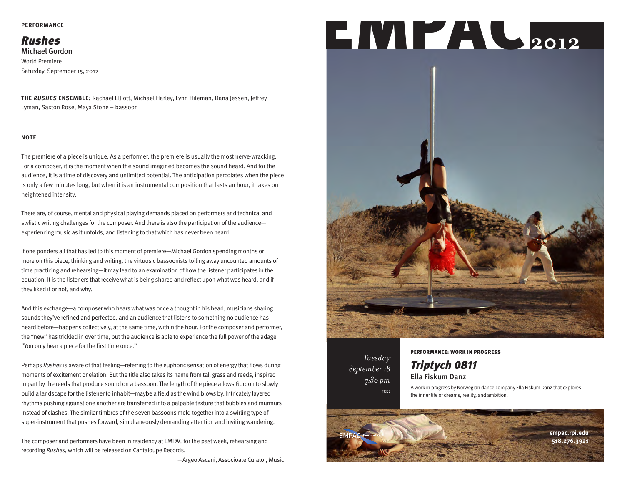#### **PERFORMANCE**

## Rushes

Michael Gordon World Premiere Saturday, September 15, 2012

**THE RUSHES ENSEMBLE:** Rachael Elliott, Michael Harley, Lynn Hileman, Dana Jessen, Jeffrey Lyman, Saxton Rose, Maya Stone – bassoon

#### **NOTE**

The premiere of a piece is unique. As a performer, the premiere is usually the most nerve-wracking. For a composer, it is the moment when the sound imagined becomes the sound heard. And for the audience, it is a time of discovery and unlimited potential. The anticipation percolates when the piece is only a few minutes long, but when it is an instrumental composition that lasts an hour, it takes on heightened intensity.

There are, of course, mental and physical playing demands placed on performers and technical and stylistic writing challenges for the composer. And there is also the participation of the audience experiencing music as it unfolds, and listening to that which has never been heard.

If one ponders all that has led to this moment of premiere—Michael Gordon spending months or more on this piece, thinking and writing, the virtuosic bassoonists toiling away uncounted amounts of time practicing and rehearsing—it may lead to an examination of how the listener participates in the equation. It is the listeners that receive what is being shared and reflect upon what was heard, and if they liked it or not, and why.

And this exchange—a composer who hears what was once a thought in his head, musicians sharing sounds they've refined and perfected, and an audience that listens to something no audience has heard before—happens collectively, at the same time, within the hour. For the composer and performer, the "new" has trickled in over time, but the audience is able to experience the full power of the adage "You only hear a piece for the first time once."

Perhaps Rushes is aware of that feeling—referring to the euphoric sensation of energy that flows during moments of excitement or elation. But the title also takes its name from tall grass and reeds, inspired in part by the reeds that produce sound on a bassoon. The length of the piece allows Gordon to slowly build a landscape for the listener to inhabit—maybe a field as the wind blows by. Intricately layered rhythms pushing against one another are transferred into a palpable texture that bubbles and murmurs instead of clashes. The similar timbres of the seven bassoons meld together into a swirling type of super-instrument that pushes forward, simultaneously demanding attention and inviting wandering.

The composer and performers have been in residency at EMPAC for the past week, rehearsing and recording Rushes, which will be released on Cantaloupe Records.

—Argeo Ascani, Associoate Curator, Music

# **2012** EMPAC



*Tuesday September 18 7:30 pm* FREE

#### PERFORMANCE: WORK IN PROGRESS

### Triptych 0811 Ella Fiskum Danz

A work in progress by Norwegian dance company Ella Fiskum Danz that explores the inner life of dreams, reality, and ambition.